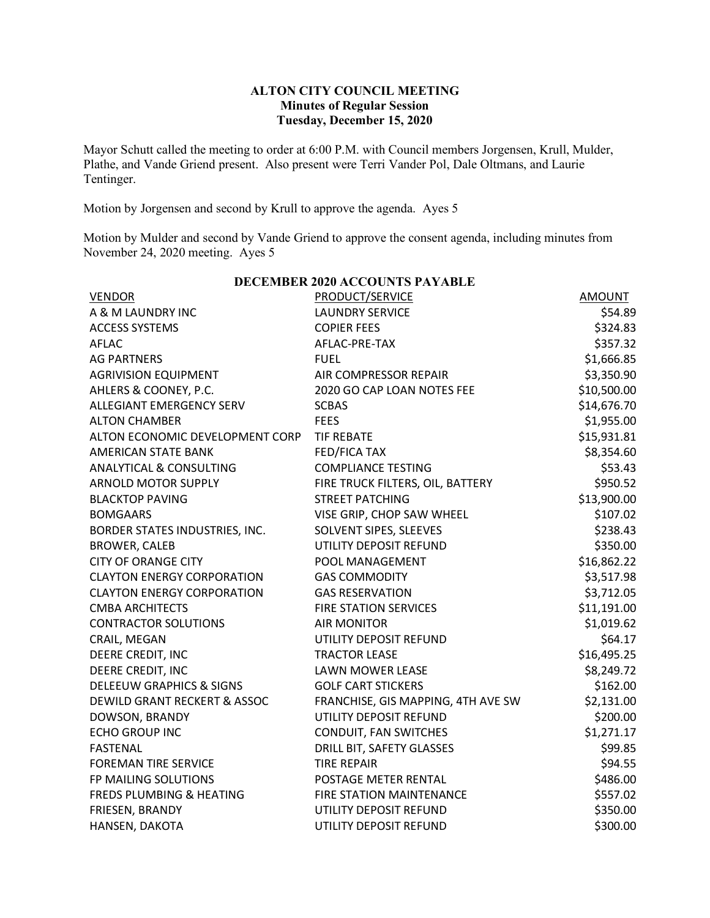## **ALTON CITY COUNCIL MEETING Minutes of Regular Session Tuesday, December 15, 2020**

Mayor Schutt called the meeting to order at 6:00 P.M. with Council members Jorgensen, Krull, Mulder, Plathe, and Vande Griend present. Also present were Terri Vander Pol, Dale Oltmans, and Laurie Tentinger.

Motion by Jorgensen and second by Krull to approve the agenda. Ayes 5

Motion by Mulder and second by Vande Griend to approve the consent agenda, including minutes from November 24, 2020 meeting. Ayes 5

| <b>DECEMBER 2020 ACCOUNTS PAYABLE</b> |                                    |             |  |  |  |
|---------------------------------------|------------------------------------|-------------|--|--|--|
| <b>VENDOR</b>                         | PRODUCT/SERVICE                    | AMOUNT      |  |  |  |
| A & M LAUNDRY INC                     | <b>LAUNDRY SERVICE</b>             | \$54.89     |  |  |  |
| <b>ACCESS SYSTEMS</b>                 | <b>COPIER FEES</b>                 | \$324.83    |  |  |  |
| <b>AFLAC</b>                          | AFLAC-PRE-TAX                      | \$357.32    |  |  |  |
| <b>AG PARTNERS</b>                    | <b>FUEL</b>                        | \$1,666.85  |  |  |  |
| <b>AGRIVISION EQUIPMENT</b>           | AIR COMPRESSOR REPAIR              | \$3,350.90  |  |  |  |
| AHLERS & COONEY, P.C.                 | 2020 GO CAP LOAN NOTES FEE         | \$10,500.00 |  |  |  |
| ALLEGIANT EMERGENCY SERV              | <b>SCBAS</b>                       | \$14,676.70 |  |  |  |
| <b>ALTON CHAMBER</b>                  | <b>FEES</b>                        | \$1,955.00  |  |  |  |
| ALTON ECONOMIC DEVELOPMENT CORP       | <b>TIF REBATE</b>                  | \$15,931.81 |  |  |  |
| <b>AMERICAN STATE BANK</b>            | FED/FICA TAX                       | \$8,354.60  |  |  |  |
| <b>ANALYTICAL &amp; CONSULTING</b>    | <b>COMPLIANCE TESTING</b>          | \$53.43     |  |  |  |
| <b>ARNOLD MOTOR SUPPLY</b>            | FIRE TRUCK FILTERS, OIL, BATTERY   | \$950.52    |  |  |  |
| <b>BLACKTOP PAVING</b>                | <b>STREET PATCHING</b>             | \$13,900.00 |  |  |  |
| <b>BOMGAARS</b>                       | VISE GRIP, CHOP SAW WHEEL          | \$107.02    |  |  |  |
| BORDER STATES INDUSTRIES, INC.        | SOLVENT SIPES, SLEEVES             | \$238.43    |  |  |  |
| <b>BROWER, CALEB</b>                  | UTILITY DEPOSIT REFUND             | \$350.00    |  |  |  |
| <b>CITY OF ORANGE CITY</b>            | POOL MANAGEMENT                    | \$16,862.22 |  |  |  |
| <b>CLAYTON ENERGY CORPORATION</b>     | <b>GAS COMMODITY</b>               | \$3,517.98  |  |  |  |
| <b>CLAYTON ENERGY CORPORATION</b>     | <b>GAS RESERVATION</b>             | \$3,712.05  |  |  |  |
| <b>CMBA ARCHITECTS</b>                | <b>FIRE STATION SERVICES</b>       | \$11,191.00 |  |  |  |
| <b>CONTRACTOR SOLUTIONS</b>           | <b>AIR MONITOR</b>                 | \$1,019.62  |  |  |  |
| CRAIL, MEGAN                          | UTILITY DEPOSIT REFUND             | \$64.17     |  |  |  |
| DEERE CREDIT, INC                     | <b>TRACTOR LEASE</b>               | \$16,495.25 |  |  |  |
| DEERE CREDIT, INC                     | <b>LAWN MOWER LEASE</b>            | \$8,249.72  |  |  |  |
| <b>DELEEUW GRAPHICS &amp; SIGNS</b>   | <b>GOLF CART STICKERS</b>          | \$162.00    |  |  |  |
| DEWILD GRANT RECKERT & ASSOC          | FRANCHISE, GIS MAPPING, 4TH AVE SW | \$2,131.00  |  |  |  |
| DOWSON, BRANDY                        | UTILITY DEPOSIT REFUND             | \$200.00    |  |  |  |
| <b>ECHO GROUP INC</b>                 | CONDUIT, FAN SWITCHES              | \$1,271.17  |  |  |  |
| <b>FASTENAL</b>                       | DRILL BIT, SAFETY GLASSES          | \$99.85     |  |  |  |
| <b>FOREMAN TIRE SERVICE</b>           | <b>TIRE REPAIR</b>                 | \$94.55     |  |  |  |
| FP MAILING SOLUTIONS                  | POSTAGE METER RENTAL               | \$486.00    |  |  |  |
| <b>FREDS PLUMBING &amp; HEATING</b>   | FIRE STATION MAINTENANCE           | \$557.02    |  |  |  |
| FRIESEN, BRANDY                       | UTILITY DEPOSIT REFUND             | \$350.00    |  |  |  |
| HANSEN, DAKOTA                        | UTILITY DEPOSIT REFUND             | \$300.00    |  |  |  |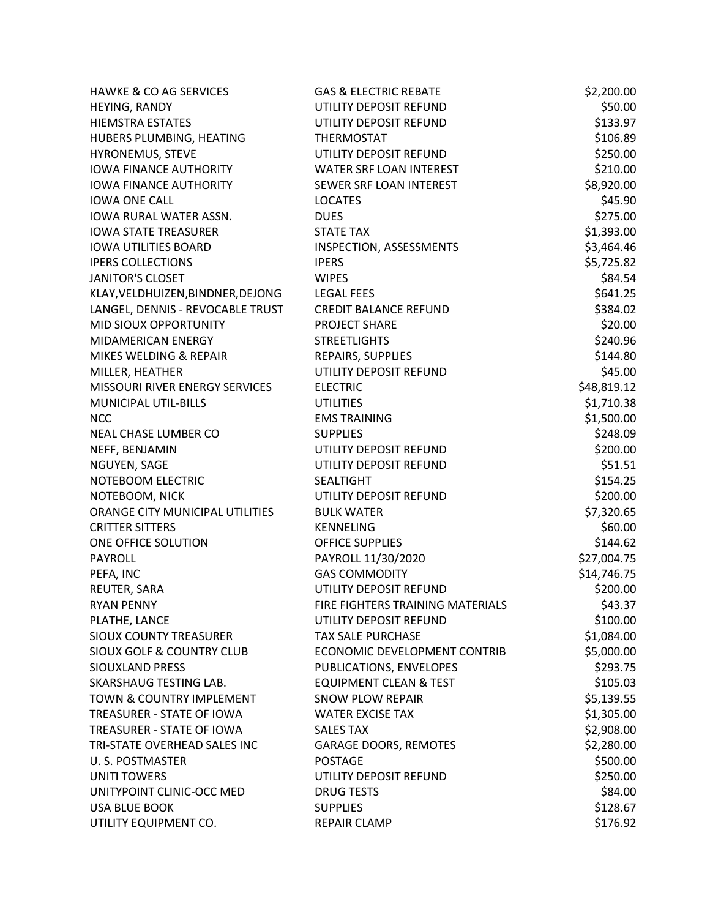| <b>HAWKE &amp; CO AG SERVICES</b>    | <b>GAS &amp; ELECTRIC REBATE</b>  | \$2,200.00  |
|--------------------------------------|-----------------------------------|-------------|
| HEYING, RANDY                        | UTILITY DEPOSIT REFUND            | \$50.00     |
| <b>HIEMSTRA ESTATES</b>              | UTILITY DEPOSIT REFUND            | \$133.97    |
| HUBERS PLUMBING, HEATING             | <b>THERMOSTAT</b>                 | \$106.89    |
| HYRONEMUS, STEVE                     | UTILITY DEPOSIT REFUND            | \$250.00    |
| <b>IOWA FINANCE AUTHORITY</b>        | WATER SRF LOAN INTEREST           | \$210.00    |
| <b>IOWA FINANCE AUTHORITY</b>        | SEWER SRF LOAN INTEREST           | \$8,920.00  |
| <b>IOWA ONE CALL</b>                 | <b>LOCATES</b>                    | \$45.90     |
| <b>IOWA RURAL WATER ASSN.</b>        | <b>DUES</b>                       | \$275.00    |
| <b>IOWA STATE TREASURER</b>          | <b>STATE TAX</b>                  | \$1,393.00  |
| <b>IOWA UTILITIES BOARD</b>          | INSPECTION, ASSESSMENTS           | \$3,464.46  |
| <b>IPERS COLLECTIONS</b>             | <b>IPERS</b>                      | \$5,725.82  |
| <b>JANITOR'S CLOSET</b>              | <b>WIPES</b>                      | \$84.54     |
| KLAY, VELDHUIZEN, BINDNER, DEJONG    | <b>LEGAL FEES</b>                 | \$641.25    |
| LANGEL, DENNIS - REVOCABLE TRUST     | <b>CREDIT BALANCE REFUND</b>      | \$384.02    |
| MID SIOUX OPPORTUNITY                | PROJECT SHARE                     | \$20.00     |
| <b>MIDAMERICAN ENERGY</b>            | <b>STREETLIGHTS</b>               | \$240.96    |
| MIKES WELDING & REPAIR               | REPAIRS, SUPPLIES                 | \$144.80    |
| MILLER, HEATHER                      | UTILITY DEPOSIT REFUND            | \$45.00     |
| MISSOURI RIVER ENERGY SERVICES       | <b>ELECTRIC</b>                   | \$48,819.12 |
| <b>MUNICIPAL UTIL-BILLS</b>          | <b>UTILITIES</b>                  | \$1,710.38  |
| <b>NCC</b>                           | <b>EMS TRAINING</b>               | \$1,500.00  |
| NEAL CHASE LUMBER CO                 | <b>SUPPLIES</b>                   | \$248.09    |
| NEFF, BENJAMIN                       | UTILITY DEPOSIT REFUND            | \$200.00    |
| NGUYEN, SAGE                         | UTILITY DEPOSIT REFUND            | \$51.51     |
| NOTEBOOM ELECTRIC                    | <b>SEALTIGHT</b>                  | \$154.25    |
| NOTEBOOM, NICK                       | UTILITY DEPOSIT REFUND            | \$200.00    |
| ORANGE CITY MUNICIPAL UTILITIES      | <b>BULK WATER</b>                 | \$7,320.65  |
| <b>CRITTER SITTERS</b>               | <b>KENNELING</b>                  | \$60.00     |
| ONE OFFICE SOLUTION                  | <b>OFFICE SUPPLIES</b>            | \$144.62    |
| <b>PAYROLL</b>                       | PAYROLL 11/30/2020                | \$27,004.75 |
| PEFA, INC                            | <b>GAS COMMODITY</b>              | \$14,746.75 |
| REUTER, SARA                         | UTILITY DEPOSIT REFUND            | \$200.00    |
| <b>RYAN PENNY</b>                    | FIRE FIGHTERS TRAINING MATERIALS  | \$43.37     |
| PLATHE, LANCE                        | UTILITY DEPOSIT REFUND            | \$100.00    |
| <b>SIOUX COUNTY TREASURER</b>        | <b>TAX SALE PURCHASE</b>          | \$1,084.00  |
| <b>SIOUX GOLF &amp; COUNTRY CLUB</b> | ECONOMIC DEVELOPMENT CONTRIB      | \$5,000.00  |
| <b>SIOUXLAND PRESS</b>               | PUBLICATIONS, ENVELOPES           | \$293.75    |
| <b>SKARSHAUG TESTING LAB.</b>        | <b>EQUIPMENT CLEAN &amp; TEST</b> | \$105.03    |
| <b>TOWN &amp; COUNTRY IMPLEMENT</b>  | <b>SNOW PLOW REPAIR</b>           | \$5,139.55  |
| TREASURER - STATE OF IOWA            | <b>WATER EXCISE TAX</b>           | \$1,305.00  |
| TREASURER - STATE OF IOWA            | <b>SALES TAX</b>                  | \$2,908.00  |
| TRI-STATE OVERHEAD SALES INC         | <b>GARAGE DOORS, REMOTES</b>      | \$2,280.00  |
| U.S. POSTMASTER                      | <b>POSTAGE</b>                    | \$500.00    |
| <b>UNITI TOWERS</b>                  | UTILITY DEPOSIT REFUND            | \$250.00    |
| UNITYPOINT CLINIC-OCC MED            | <b>DRUG TESTS</b>                 | \$84.00     |
| <b>USA BLUE BOOK</b>                 | <b>SUPPLIES</b>                   | \$128.67    |
| UTILITY EQUIPMENT CO.                | REPAIR CLAMP                      | \$176.92    |
|                                      |                                   |             |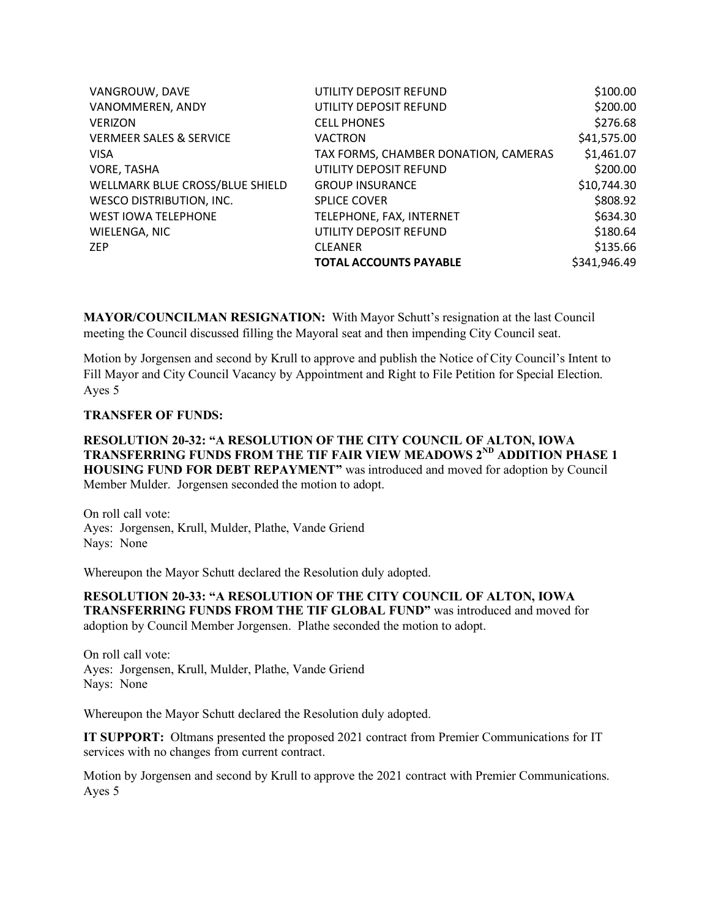| VANGROUW, DAVE                     | UTILITY DEPOSIT REFUND               | \$100.00     |
|------------------------------------|--------------------------------------|--------------|
| VANOMMEREN, ANDY                   | UTILITY DEPOSIT REFUND               | \$200.00     |
| <b>VERIZON</b>                     | <b>CELL PHONES</b>                   | \$276.68     |
| <b>VERMEER SALES &amp; SERVICE</b> | <b>VACTRON</b>                       | \$41,575.00  |
| <b>VISA</b>                        | TAX FORMS, CHAMBER DONATION, CAMERAS | \$1,461.07   |
| VORE, TASHA                        | UTILITY DEPOSIT REFUND               | \$200.00     |
| WELLMARK BLUE CROSS/BLUE SHIELD    | <b>GROUP INSURANCE</b>               | \$10,744.30  |
| <b>WESCO DISTRIBUTION, INC.</b>    | <b>SPLICE COVER</b>                  | \$808.92     |
| <b>WEST IOWA TELEPHONE</b>         | TELEPHONE, FAX, INTERNET             | \$634.30     |
| WIELENGA, NIC                      | UTILITY DEPOSIT REFUND               | \$180.64     |
| <b>ZEP</b>                         | <b>CLEANER</b>                       | \$135.66     |
|                                    | <b>TOTAL ACCOUNTS PAYABLE</b>        | \$341,946.49 |

**MAYOR/COUNCILMAN RESIGNATION:** With Mayor Schutt's resignation at the last Council meeting the Council discussed filling the Mayoral seat and then impending City Council seat.

Motion by Jorgensen and second by Krull to approve and publish the Notice of City Council's Intent to Fill Mayor and City Council Vacancy by Appointment and Right to File Petition for Special Election. Ayes 5

## **TRANSFER OF FUNDS:**

**RESOLUTION 20-32: "A RESOLUTION OF THE CITY COUNCIL OF ALTON, IOWA TRANSFERRING FUNDS FROM THE TIF FAIR VIEW MEADOWS 2ND ADDITION PHASE 1 HOUSING FUND FOR DEBT REPAYMENT"** was introduced and moved for adoption by Council Member Mulder. Jorgensen seconded the motion to adopt.

On roll call vote: Ayes: Jorgensen, Krull, Mulder, Plathe, Vande Griend Nays: None

Whereupon the Mayor Schutt declared the Resolution duly adopted.

**RESOLUTION 20-33: "A RESOLUTION OF THE CITY COUNCIL OF ALTON, IOWA TRANSFERRING FUNDS FROM THE TIF GLOBAL FUND"** was introduced and moved for adoption by Council Member Jorgensen. Plathe seconded the motion to adopt.

On roll call vote: Ayes: Jorgensen, Krull, Mulder, Plathe, Vande Griend Nays: None

Whereupon the Mayor Schutt declared the Resolution duly adopted.

**IT SUPPORT:** Oltmans presented the proposed 2021 contract from Premier Communications for IT services with no changes from current contract.

Motion by Jorgensen and second by Krull to approve the 2021 contract with Premier Communications. Ayes 5